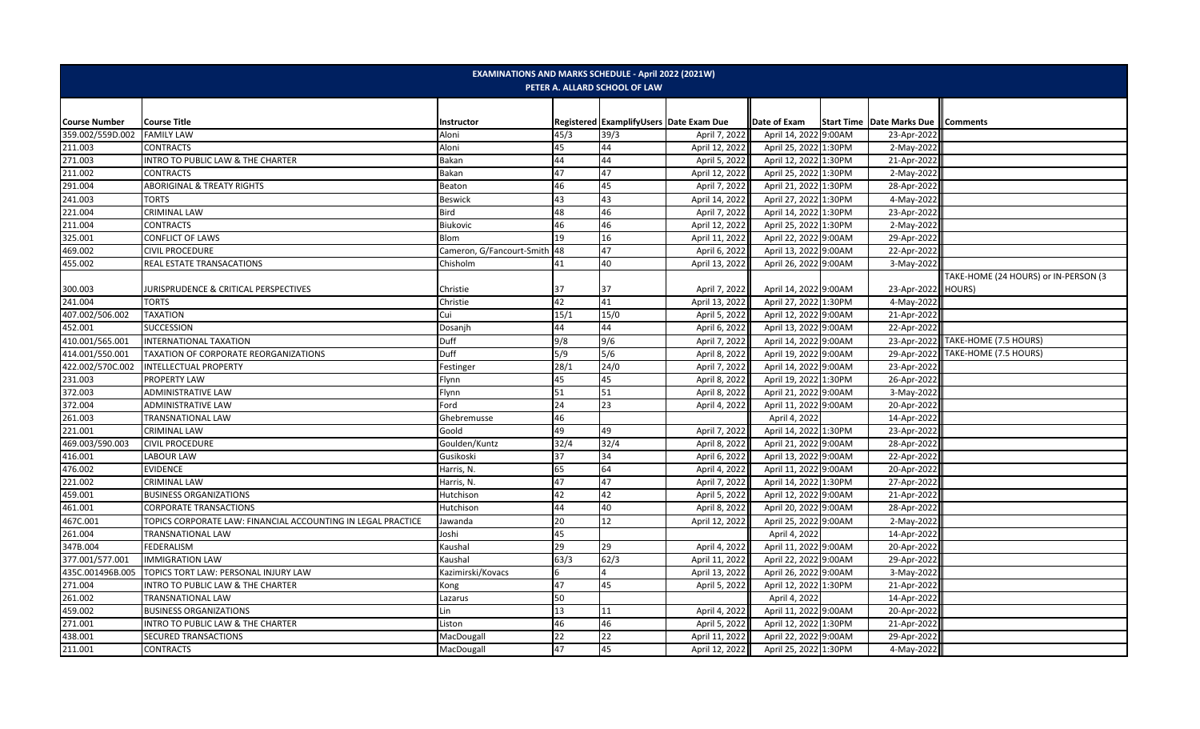| <b>EXAMINATIONS AND MARKS SCHEDULE - April 2022 (2021W)</b><br>PETER A. ALLARD SCHOOL OF LAW |                                                              |                           |      |      |                                         |                       |        |                                                |                                      |  |
|----------------------------------------------------------------------------------------------|--------------------------------------------------------------|---------------------------|------|------|-----------------------------------------|-----------------------|--------|------------------------------------------------|--------------------------------------|--|
|                                                                                              |                                                              |                           |      |      |                                         |                       |        |                                                |                                      |  |
| <b>Course Number</b>                                                                         | <b>Course Title</b>                                          | Instructor                |      |      | Registered ExamplifyUsers Date Exam Due | Date of Exam          |        | <b>Start Time   Date Marks Due    Comments</b> |                                      |  |
| 359.002/559D.002                                                                             | <b>FAMILY LAW</b>                                            | Aloni                     | 45/3 | 39/3 | April 7, 2022                           | April 14, 2022 9:00AM |        | 23-Apr-2022                                    |                                      |  |
| 211.003                                                                                      | <b>CONTRACTS</b>                                             | Aloni                     | 45   | 44   | April 12, 2022                          | April 25, 2022 1:30PM |        | $2-May-2022$                                   |                                      |  |
| 271.003                                                                                      | <b>INTRO TO PUBLIC LAW &amp; THE CHARTER</b>                 | <b>Bakan</b>              | 44   | 44   | April 5, 2022                           | April 12, 2022 1:30PM |        | 21-Apr-2022                                    |                                      |  |
| 211.002                                                                                      | <b>CONTRACTS</b>                                             | Bakan                     | 47   | 47   | April 12, 2022                          | April 25, 2022 1:30PM |        | 2-May-2022                                     |                                      |  |
| 291.004                                                                                      | <b>ABORIGINAL &amp; TREATY RIGHTS</b>                        | Beaton                    | 46   | 45   | April 7, 2022                           | April 21, 2022 1:30PM |        | 28-Apr-2022                                    |                                      |  |
| 241.003                                                                                      | <b>TORTS</b>                                                 | <b>Beswick</b>            | 43   | 43   | April 14, 2022                          | April 27, 2022 1:30PM |        | 4-May-2022                                     |                                      |  |
| 221.004                                                                                      | <b>CRIMINAL LAW</b>                                          | Bird                      | 48   | 46   | April 7, 2022                           | April 14, 2022 1:30PM |        | 23-Apr-2022                                    |                                      |  |
| 211.004                                                                                      | <b>CONTRACTS</b>                                             | Biukovic                  | 46   | 46   | April 12, 202:                          | April 25, 2022        | 1:30PM | 2-May-202                                      |                                      |  |
| 325.001                                                                                      | <b>CONFLICT OF LAWS</b>                                      | Blom                      | 19   | 16   | April 11, 2022                          | April 22, 2022 9:00AM |        | 29-Apr-2022                                    |                                      |  |
| 469.002                                                                                      | <b>CIVIL PROCEDURE</b>                                       | Cameron, G/Fancourt-Smith | 48   | 47   | April 6, 2022                           | April 13, 2022        | 9:00AM | 22-Apr-2022                                    |                                      |  |
| 455.002                                                                                      | REAL ESTATE TRANSACATIONS                                    | Chisholm                  | 41   | 40   | April 13, 2022                          | April 26, 2022        | 9:00AM | 3-May-2022                                     |                                      |  |
|                                                                                              |                                                              |                           |      |      |                                         |                       |        |                                                | TAKE-HOME (24 HOURS) or IN-PERSON (3 |  |
| 300.003                                                                                      | JURISPRUDENCE & CRITICAL PERSPECTIVES                        | Christie                  | 37   | 37   | April 7, 2022                           | April 14, 2022 9:00AM |        | 23-Apr-2022 HOURS)                             |                                      |  |
| 241.004                                                                                      | <b>TORTS</b>                                                 | Christie                  | 42   | 41   | April 13, 2022                          | April 27, 2022 1:30PM |        | 4-May-2022                                     |                                      |  |
| 407.002/506.002                                                                              | <b>TAXATION</b>                                              | Cui                       | 15/1 | 15/0 | April 5, 2022                           | April 12, 2022 9:00AM |        | 21-Apr-2022                                    |                                      |  |
| 452.001                                                                                      | <b>SUCCESSION</b>                                            | Dosanjh                   | 44   | 44   | April 6, 2022                           | April 13, 2022 9:00AM |        | 22-Apr-2022                                    |                                      |  |
| 410.001/565.001                                                                              | INTERNATIONAL TAXATION                                       | Duff                      | 9/8  | 9/6  | April 7, 2022                           | April 14, 2022 9:00AM |        |                                                | 23-Apr-2022 TAKE-HOME (7.5 HOURS)    |  |
| 414.001/550.001                                                                              | TAXATION OF CORPORATE REORGANIZATIONS                        | Duff                      | 5/9  | 5/6  | April 8, 2022                           | April 19, 2022 9:00AM |        |                                                | 29-Apr-2022 TAKE-HOME (7.5 HOURS)    |  |
| 422.002/570C.002                                                                             | <b>INTELLECTUAL PROPERTY</b>                                 | Festinger                 | 28/1 | 24/0 | April 7, 2022                           | April 14, 2022        | 9:00AM | 23-Apr-2022                                    |                                      |  |
| 231.003                                                                                      | <b>PROPERTY LAW</b>                                          | Flynn                     | 45   | 45   | April 8, 2022                           | April 19, 2022 1:30PM |        | 26-Apr-2022                                    |                                      |  |
| 372.003                                                                                      | <b>ADMINISTRATIVE LAW</b>                                    | Flynn                     | 51   | 51   | April 8, 2022                           | April 21, 2022 9:00AM |        | 3-May-2022                                     |                                      |  |
| 372.004                                                                                      | <b>ADMINISTRATIVE LAW</b>                                    | Ford                      | 24   | 23   | April 4, 2022                           | April 11, 2022        | 9:00AM | 20-Apr-2022                                    |                                      |  |
| 261.003                                                                                      | <b>TRANSNATIONAL LAW</b>                                     | Ghebremusse               | 46   |      |                                         | April 4, 2022         |        | 14-Apr-2022                                    |                                      |  |
| 221.001                                                                                      | <b>CRIMINAL LAW</b>                                          | Goold                     | 49   | 49   | April 7, 2022                           | April 14, 2022 1:30PM |        | 23-Apr-202                                     |                                      |  |
| 469.003/590.003                                                                              | <b>CIVIL PROCEDURE</b>                                       | Goulden/Kuntz             | 32/4 | 32/4 | April 8, 2022                           | April 21, 2022 9:00AM |        | 28-Apr-2022                                    |                                      |  |
| 416.001                                                                                      | <b>LABOUR LAW</b>                                            | Gusikoski                 | 37   | 34   | April 6, 2022                           | April 13, 2022 9:00AM |        | 22-Apr-2022                                    |                                      |  |
| 476.002                                                                                      | <b>EVIDENCE</b>                                              | Harris, N.                | 65   | 64   | April 4, 2022                           | April 11, 2022 9:00AM |        | 20-Apr-2022                                    |                                      |  |
| 221.002                                                                                      | <b>CRIMINAL LAW</b>                                          | Harris, N.                | 47   | 47   | April 7, 202:                           | April 14, 2022 1:30PM |        | 27-Apr-2022                                    |                                      |  |
| 459.001                                                                                      | <b>BUSINESS ORGANIZATIONS</b>                                | Hutchison                 | 42   | 42   | April 5, 2022                           | April 12, 2022        | 9:00AM | 21-Apr-2022                                    |                                      |  |
| 461.001                                                                                      | <b>CORPORATE TRANSACTIONS</b>                                | Hutchison                 | 44   | 40   | April 8, 2022                           | April 20, 2022        | 9:00AM | 28-Apr-2022                                    |                                      |  |
| 467C.001                                                                                     | TOPICS CORPORATE LAW: FINANCIAL ACCOUNTING IN LEGAL PRACTICE | Jawanda                   | 20   | 12   | April 12, 2022                          | April 25, 2022        | 9:00AM | 2-May-2022                                     |                                      |  |
| 261.004                                                                                      | <b>TRANSNATIONAL LAW</b>                                     | Joshi                     | 45   |      |                                         | April 4, 2022         |        | 14-Apr-2022                                    |                                      |  |
| 347B.004                                                                                     | <b>FEDERALISM</b>                                            | Kaushal                   | 29   | 29   | April 4, 2022                           | April 11, 2022 9:00AM |        | 20-Apr-2022                                    |                                      |  |
| 377.001/577.001                                                                              | <b>IMMIGRATION LAW</b>                                       | Kaushal                   | 63/3 | 62/3 | April 11, 2022                          | April 22, 2022 9:00AM |        | 29-Apr-2022                                    |                                      |  |
| 435C.001496B.005                                                                             | TOPICS TORT LAW: PERSONAL INJURY LAW                         | Kazimirski/Kovacs         | 6.   |      | April 13, 2022                          | April 26, 2022        | 9:00AM | 3-May-2022                                     |                                      |  |
| 271.004                                                                                      | INTRO TO PUBLIC LAW & THE CHARTER                            | Kong                      | 47   | 45   | April 5, 202:                           | April 12, 2022        | 1:30PM | 21-Apr-2022                                    |                                      |  |
| 261.002                                                                                      | <b>TRANSNATIONAL LAW</b>                                     | Lazarus                   | 50   |      |                                         | April 4, 2022         |        | 14-Apr-202                                     |                                      |  |
| 459.002                                                                                      | <b>BUSINESS ORGANIZATIONS</b>                                | Lin                       | 13   | 11   | April 4, 2022                           | April 11, 2022 9:00AM |        | 20-Apr-2022                                    |                                      |  |
| 271.001                                                                                      | INTRO TO PUBLIC LAW & THE CHARTER                            | Liston                    | 46   | 46   | April 5, 2022                           | April 12, 2022        | 1:30PM | 21-Apr-2022                                    |                                      |  |
| 438.001                                                                                      | <b>SECURED TRANSACTIONS</b>                                  | MacDougall                | 22   | 22   | April 11, 2022                          | April 22, 2022        | 9:00AM | 29-Apr-2022                                    |                                      |  |
| 211.001                                                                                      | <b>CONTRACTS</b>                                             | MacDougall                | 47   | 45   | April 12, 2022                          | April 25, 2022 1:30PM |        | 4-May-2022                                     |                                      |  |
|                                                                                              |                                                              |                           |      |      |                                         |                       |        |                                                |                                      |  |